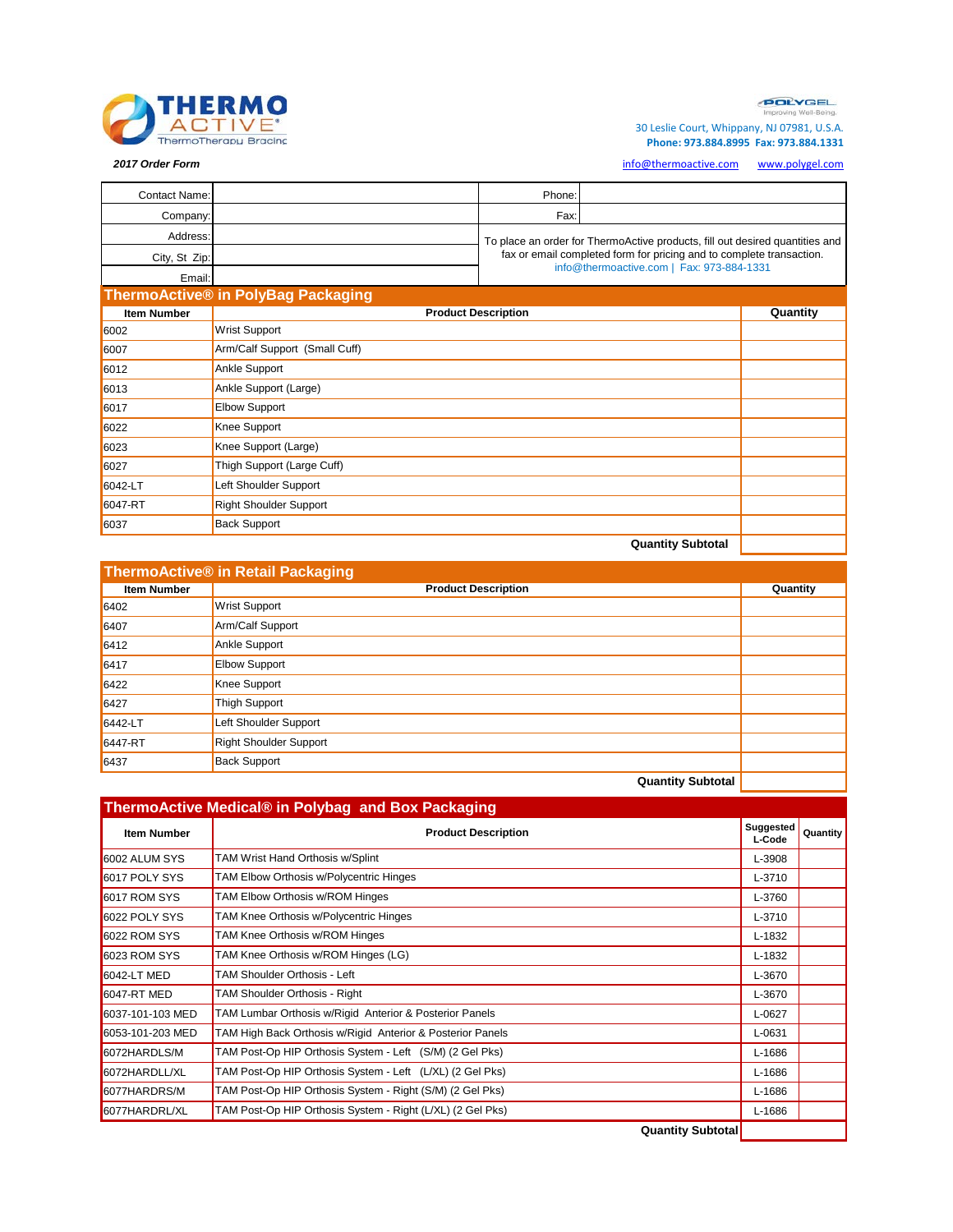

**POLYGEL** 

30 Leslie Court, Whippany, NJ 07981, U.S.A.  **Phone: 973.884.8995 Fax: 973.884.1331**

*2017 Order Form* [info@thermoactive.com](mailto:info@thermoactive.com) [www.po](http://www.polygel.com/)lygel.com

| <b>Contact Name:</b> |                                    | Phone:                                                                                                            |                                                                              |          |
|----------------------|------------------------------------|-------------------------------------------------------------------------------------------------------------------|------------------------------------------------------------------------------|----------|
| Company:             |                                    | Fax:                                                                                                              |                                                                              |          |
| Address:             |                                    |                                                                                                                   | To place an order for ThermoActive products, fill out desired quantities and |          |
| City, St Zip:        |                                    | fax or email completed form for pricing and to complete transaction.<br>info@thermoactive.com   Fax: 973-884-1331 |                                                                              |          |
| Email:               |                                    |                                                                                                                   |                                                                              |          |
|                      | ThermoActive® in PolyBag Packaging |                                                                                                                   |                                                                              |          |
| <b>Item Number</b>   | <b>Product Description</b>         |                                                                                                                   |                                                                              | Quantity |
| 6002                 | Wrist Support                      |                                                                                                                   |                                                                              |          |
| 6007                 | Arm/Calf Support (Small Cuff)      |                                                                                                                   |                                                                              |          |
| 6012                 | Ankle Support                      |                                                                                                                   |                                                                              |          |
| 6013                 | Ankle Support (Large)              |                                                                                                                   |                                                                              |          |
| 6017                 | <b>Elbow Support</b>               |                                                                                                                   |                                                                              |          |
| 6022                 | Knee Support                       |                                                                                                                   |                                                                              |          |
| 6023                 | Knee Support (Large)               |                                                                                                                   |                                                                              |          |
| 6027                 | Thigh Support (Large Cuff)         |                                                                                                                   |                                                                              |          |
| 6042-LT              | Left Shoulder Support              |                                                                                                                   |                                                                              |          |
| 6047-RT              | <b>Right Shoulder Support</b>      |                                                                                                                   |                                                                              |          |
| 6037                 | <b>Back Support</b>                |                                                                                                                   |                                                                              |          |
|                      |                                    |                                                                                                                   | <b>Quantity Subtotal</b>                                                     |          |

| ThermoActive® in Retail Packaging |                            |          |
|-----------------------------------|----------------------------|----------|
| <b>Item Number</b>                | <b>Product Description</b> | Quantity |
| 6402                              | <b>Wrist Support</b>       |          |
| 6407                              | Arm/Calf Support           |          |
| 6412                              | Ankle Support              |          |
| 6417                              | <b>Elbow Support</b>       |          |
| 6422                              | Knee Support               |          |
| 6427                              | <b>Thigh Support</b>       |          |
| 6442-LT                           | Left Shoulder Support      |          |
| 6447-RT                           | Right Shoulder Support     |          |
| 6437                              | <b>Back Support</b>        |          |
|                                   | _________                  |          |

**Quantity Subtotal** 

| <b>Item Number</b> | <b>Product Description</b>                                 | Suggested<br>L-Code | <b>Quantity</b> |
|--------------------|------------------------------------------------------------|---------------------|-----------------|
| 6002 ALUM SYS      | TAM Wrist Hand Orthosis w/Splint                           | L-3908              |                 |
| 6017 POLY SYS      | TAM Elbow Orthosis w/Polycentric Hinges                    | L-3710              |                 |
| 6017 ROM SYS       | TAM Elbow Orthosis w/ROM Hinges                            | L-3760              |                 |
| 6022 POLY SYS      | TAM Knee Orthosis w/Polycentric Hinges                     | L-3710              |                 |
| 6022 ROM SYS       | TAM Knee Orthosis w/ROM Hinges                             | L-1832              |                 |
| 6023 ROM SYS       | TAM Knee Orthosis w/ROM Hinges (LG)                        | L-1832              |                 |
| <b>6042-LT MED</b> | TAM Shoulder Orthosis - Left                               | L-3670              |                 |
| <b>6047-RT MED</b> | TAM Shoulder Orthosis - Right                              | L-3670              |                 |
| 6037-101-103 MED   | TAM Lumbar Orthosis w/Rigid Anterior & Posterior Panels    | L-0627              |                 |
| 6053-101-203 MED   | TAM High Back Orthosis w/Rigid Anterior & Posterior Panels | L-0631              |                 |
| 6072HARDLS/M       | TAM Post-Op HIP Orthosis System - Left (S/M) (2 Gel Pks)   | L-1686              |                 |
| 6072HARDLL/XL      | TAM Post-Op HIP Orthosis System - Left (L/XL) (2 Gel Pks)  | L-1686              |                 |
| 6077HARDRS/M       | TAM Post-Op HIP Orthosis System - Right (S/M) (2 Gel Pks)  | L-1686              |                 |
| 6077HARDRL/XL      | TAM Post-Op HIP Orthosis System - Right (L/XL) (2 Gel Pks) | L-1686              |                 |
|                    | <b>Quantity Subtotal</b>                                   |                     |                 |

**Quantity Subtotal**